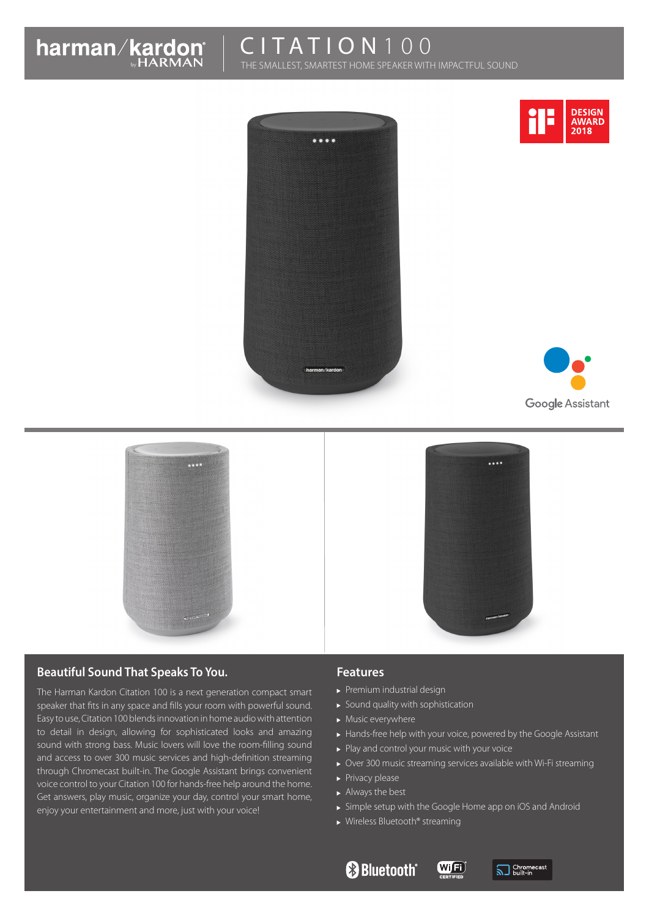

# CITATION 100

**Provi** 

THE SMALLEST, SMARTEST HOME SPEAKER WITH IMPACTFUL SOUND





# **Google Assistant**



#### **Beautiful Sound That Speaks To You.**

The Harman Kardon Citation 100 is a next generation compact smart speaker that fits in any space and fills your room with powerful sound. Easy to use, Citation 100 blends innovation in home audio with attention to detail in design, allowing for sophisticated looks and amazing sound with strong bass. Music lovers will love the room-filling sound and access to over 300 music services and high-definition streaming through Chromecast built-in. The Google Assistant brings convenient voice control to your Citation 100 for hands-free help around the home. Get answers, play music, organize your day, control your smart home, enjoy your entertainment and more, just with your voice!

#### **Features**

- Premium industrial design
- $\blacktriangleright$  Sound quality with sophistication
- $\blacktriangleright$  Music everywhere
- Hands-free help with your voice, powered by the Google Assistant
- Play and control your music with your voice
- Over 300 music streaming services available with Wi-Fi streaming
- $\blacktriangleright$  Privacy please
- Always the best
- Simple setup with the Google Home app on iOS and Android

(Wij<sup>Fi</sup>

▶ Wireless Bluetooth® streaming